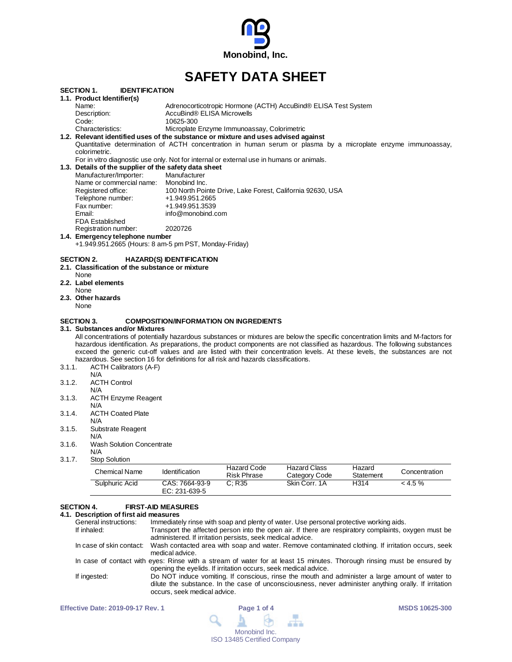

# **SAFETY DATA SHEET**

|                                                                                    | <b>SECTION 1.</b><br><b>IDENTIFICATION</b>                                                                    |                                                                                                                                                                                                                  |  |  |  |  |
|------------------------------------------------------------------------------------|---------------------------------------------------------------------------------------------------------------|------------------------------------------------------------------------------------------------------------------------------------------------------------------------------------------------------------------|--|--|--|--|
|                                                                                    | 1.1. Product Identifier(s)                                                                                    |                                                                                                                                                                                                                  |  |  |  |  |
|                                                                                    | Name:                                                                                                         | Adrenocorticotropic Hormone (ACTH) AccuBind® ELISA Test System                                                                                                                                                   |  |  |  |  |
|                                                                                    | Description:                                                                                                  | AccuBind® ELISA Microwells                                                                                                                                                                                       |  |  |  |  |
|                                                                                    | Code:                                                                                                         | 10625-300                                                                                                                                                                                                        |  |  |  |  |
|                                                                                    | Characteristics:                                                                                              | Microplate Enzyme Immunoassay, Colorimetric                                                                                                                                                                      |  |  |  |  |
| 1.2. Relevant identified uses of the substance or mixture and uses advised against |                                                                                                               |                                                                                                                                                                                                                  |  |  |  |  |
|                                                                                    | Quantitative determination of ACTH concentration in human serum or plasma by a microplate enzyme immunoassay, |                                                                                                                                                                                                                  |  |  |  |  |
|                                                                                    | colorimetric.                                                                                                 |                                                                                                                                                                                                                  |  |  |  |  |
|                                                                                    |                                                                                                               | For in vitro diagnostic use only. Not for internal or external use in humans or animals.                                                                                                                         |  |  |  |  |
|                                                                                    | 1.3. Details of the supplier of the safety data sheet                                                         |                                                                                                                                                                                                                  |  |  |  |  |
|                                                                                    | Manufacturer/Importer:                                                                                        | Manufacturer                                                                                                                                                                                                     |  |  |  |  |
|                                                                                    | Name or commercial name:                                                                                      | Monobind Inc.                                                                                                                                                                                                    |  |  |  |  |
|                                                                                    | Registered office:                                                                                            | 100 North Pointe Drive, Lake Forest, California 92630, USA                                                                                                                                                       |  |  |  |  |
|                                                                                    | Telephone number:                                                                                             | +1.949.951.2665                                                                                                                                                                                                  |  |  |  |  |
|                                                                                    | Fax number:                                                                                                   | +1.949.951.3539                                                                                                                                                                                                  |  |  |  |  |
|                                                                                    | Email:                                                                                                        | info@monobind.com                                                                                                                                                                                                |  |  |  |  |
|                                                                                    | <b>FDA Established</b>                                                                                        |                                                                                                                                                                                                                  |  |  |  |  |
|                                                                                    | Registration number:                                                                                          | 2020726                                                                                                                                                                                                          |  |  |  |  |
|                                                                                    | 1.4. Emergency telephone number                                                                               |                                                                                                                                                                                                                  |  |  |  |  |
|                                                                                    | +1.949.951.2665 (Hours: 8 am-5 pm PST, Monday-Friday)                                                         |                                                                                                                                                                                                                  |  |  |  |  |
|                                                                                    |                                                                                                               |                                                                                                                                                                                                                  |  |  |  |  |
|                                                                                    | <b>SECTION 2.</b>                                                                                             | <b>HAZARD(S) IDENTIFICATION</b>                                                                                                                                                                                  |  |  |  |  |
|                                                                                    | 2.1. Classification of the substance or mixture                                                               |                                                                                                                                                                                                                  |  |  |  |  |
|                                                                                    | None                                                                                                          |                                                                                                                                                                                                                  |  |  |  |  |
|                                                                                    | 2.2. Label elements                                                                                           |                                                                                                                                                                                                                  |  |  |  |  |
|                                                                                    | None                                                                                                          |                                                                                                                                                                                                                  |  |  |  |  |
|                                                                                    | 2.3. Other hazards                                                                                            |                                                                                                                                                                                                                  |  |  |  |  |
|                                                                                    | None                                                                                                          |                                                                                                                                                                                                                  |  |  |  |  |
|                                                                                    |                                                                                                               |                                                                                                                                                                                                                  |  |  |  |  |
|                                                                                    | <b>SECTION 3.</b>                                                                                             | <b>COMPOSITION/INFORMATION ON INGREDIENTS</b>                                                                                                                                                                    |  |  |  |  |
|                                                                                    | 3.1. Substances and/or Mixtures                                                                               |                                                                                                                                                                                                                  |  |  |  |  |
|                                                                                    |                                                                                                               | All concentrations of potentially hazardous substances or mixtures are below the specific concentration limits and M-factors for                                                                                 |  |  |  |  |
|                                                                                    |                                                                                                               | hazardous identification. As preparations, the product components are not classified as hazardous. The following substances                                                                                      |  |  |  |  |
|                                                                                    |                                                                                                               | exceed the generic cut-off values and are listed with their concentration levels. At these levels, the substances are not<br>hazardous. See section 16 for definitions for all risk and hazards classifications. |  |  |  |  |
|                                                                                    |                                                                                                               |                                                                                                                                                                                                                  |  |  |  |  |
| 3.1.1.                                                                             | <b>ACTH Calibrators (A-F)</b>                                                                                 |                                                                                                                                                                                                                  |  |  |  |  |
|                                                                                    | N/A                                                                                                           |                                                                                                                                                                                                                  |  |  |  |  |
| 3.1.2.                                                                             | <b>ACTH Control</b>                                                                                           |                                                                                                                                                                                                                  |  |  |  |  |
|                                                                                    | N/A                                                                                                           |                                                                                                                                                                                                                  |  |  |  |  |
| 3.1.3.                                                                             | <b>ACTH Enzyme Reagent</b>                                                                                    |                                                                                                                                                                                                                  |  |  |  |  |
|                                                                                    | N/A                                                                                                           |                                                                                                                                                                                                                  |  |  |  |  |
| 3.1.4.                                                                             | <b>ACTH Coated Plate</b>                                                                                      |                                                                                                                                                                                                                  |  |  |  |  |
|                                                                                    | N/A                                                                                                           |                                                                                                                                                                                                                  |  |  |  |  |
| 3.1.5.                                                                             | Substrate Reagent                                                                                             |                                                                                                                                                                                                                  |  |  |  |  |
|                                                                                    | N/A                                                                                                           |                                                                                                                                                                                                                  |  |  |  |  |
| 3.1.6.                                                                             | <b>Wash Solution Concentrate</b>                                                                              |                                                                                                                                                                                                                  |  |  |  |  |
|                                                                                    | N/A                                                                                                           |                                                                                                                                                                                                                  |  |  |  |  |
| 3.1.7.                                                                             | <b>Stop Solution</b>                                                                                          |                                                                                                                                                                                                                  |  |  |  |  |

| Chemical Name  | <b>Identification</b>           | Hazard Code<br><b>Risk Phrase</b> | <b>Hazard Class</b><br>Category Code | Hazard<br>Statement | Concentration |
|----------------|---------------------------------|-----------------------------------|--------------------------------------|---------------------|---------------|
| Sulphuric Acid | CAS: 7664-93-9<br>EC: 231-639-5 | C: R35                            | Skin Corr, 1A                        | H314                | $<$ 4.5 %     |

# **SECTION 4. FIRST-AID MEASURES**

# **4.1. Description of first aid measures**

| General instructions: | Immediately rinse with soap and plenty of water. Use personal protective working aids.                                                                                                                                                   |
|-----------------------|------------------------------------------------------------------------------------------------------------------------------------------------------------------------------------------------------------------------------------------|
| If inhaled:           | Transport the affected person into the open air. If there are respiratory complaints, oxygen must be<br>administered. If irritation persists, seek medical advice.                                                                       |
|                       | In case of skin contact: Wash contacted area with soap and water. Remove contaminated clothing. If irritation occurs, seek<br>medical advice.                                                                                            |
|                       | In case of contact with eyes: Rinse with a stream of water for at least 15 minutes. Thorough rinsing must be ensured by<br>opening the eyelids. If irritation occurs, seek medical advice.                                               |
| If ingested:          | Do NOT induce vomiting. If conscious, rinse the mouth and administer a large amount of water to<br>dilute the substance. In the case of unconsciousness, never administer anything orally. If irritation<br>occurs, seek medical advice. |
|                       |                                                                                                                                                                                                                                          |

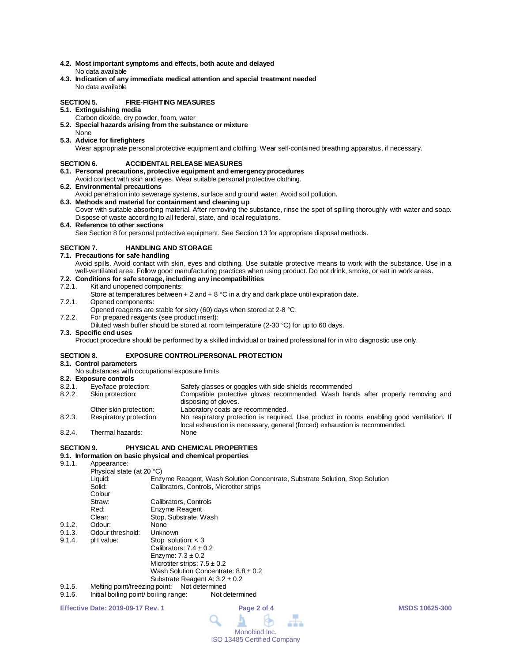- **4.2. Most important symptoms and effects, both acute and delayed** No data available
- **4.3. Indication of any immediate medical attention and special treatment needed** No data available

### **SECTION 5. FIRE-FIGHTING MEASURES**

- **5.1. Extinguishing media**
	- Carbon dioxide, dry powder, foam, water
- **5.2. Special hazards arising from the substance or mixture** None
- **5.3. Advice for firefighters**

Wear appropriate personal protective equipment and clothing. Wear self-contained breathing apparatus, if necessary.

#### **SECTION 6. ACCIDENTAL RELEASE MEASURES**

- **6.1. Personal precautions, protective equipment and emergency procedures**
- Avoid contact with skin and eyes. Wear suitable personal protective clothing.
- **6.2. Environmental precautions**
- Avoid penetration into sewerage systems, surface and ground water. Avoid soil pollution.
- **6.3. Methods and material for containment and cleaning up** Cover with suitable absorbing material. After removing the substance, rinse the spot of spilling thoroughly with water and soap. Dispose of waste according to all federal, state, and local regulations.
- **6.4. Reference to other sections**

See Section 8 for personal protective equipment. See Section 13 for appropriate disposal methods.

# **SECTION 7. HANDLING AND STORAGE**

- **7.1. Precautions for safe handling**
	- Avoid spills. Avoid contact with skin, eyes and clothing. Use suitable protective means to work with the substance. Use in a well-ventilated area. Follow good manufacturing practices when using product. Do not drink, smoke, or eat in work areas.

# **7.2. Conditions for safe storage, including any incompatibilities**

#### Kit and unopened components:

- Store at temperatures between  $+ 2$  and  $+ 8$  °C in a dry and dark place until expiration date.
- 7.2.1. Opened components:
- Opened reagents are stable for sixty (60) days when stored at 2-8 °C.
- 7.2.2. For prepared reagents (see product insert):
	- Diluted wash buffer should be stored at room temperature (2-30 °C) for up to 60 days.

#### **7.3. Specific end uses**

Product procedure should be performed by a skilled individual or trained professional for in vitro diagnostic use only.

# **SECTION 8. EXPOSURE CONTROL/PERSONAL PROTECTION**

# **8.1. Control parameters**

- No substances with occupational exposure limits.
- **8.2. Exposure controls**
- Eye/face protection: Safety glasses or goggles with side shields recommended<br>Skin protection: Compatible protective gloves recommended. Wash han 8.2.2. Skin protection: Compatible protective gloves recommended. Wash hands after properly removing and disposing of gloves.
- Other skin protection: Laboratory coats are recommended.<br>
Respiratory protection: No respiratory protection is required 8.2.3. Respiratory protection: No respiratory protection is required. Use product in rooms enabling good ventilation. If local exhaustion is necessary, general (forced) exhaustion is recommended. 8.2.4. Thermal hazards:

#### **SECTION 9. PHYSICAL AND CHEMICAL PROPERTIES**

- 
- **9.1. Information on basic physical and chemical properties** Appearance: Physical state (at 20 °C)<br>Liquid: Enz Liquid: Enzyme Reagent, Wash Solution Concentrate, Substrate Solution, Stop Solution Calibrators, Controls, Microtiter strips Colour<br>Straw: Straw: Calibrators, Controls<br>Red: Fozyme Reagent Red: Enzyme Reagent<br>Clear: Stop. Substrate. V Stop, Substrate, Wash<br>None 9.1.2. Odour: None<br>9.1.3. Odour threshold: Unknown Odour threshold: 9.1.4. pH value: Stop solution: < 3 Calibrators:  $7.4 \pm 0.2$ Enzyme:  $7.3 \pm 0.2$ Microtiter strips:  $7.5 \pm 0.2$ Wash Solution Concentrate:  $8.8 \pm 0.2$ Substrate Reagent A: 3.2 ± 0.2
- 
- 9.1.5. Melting point/freezing point: Not determined<br>9.1.6. Initial boiling point/ boiling range: Not determined Initial boiling point/ boiling range:

**Effective Date: 2019-09-17 Rev. 1 Page 2 of 4 MSDS 10625-300**

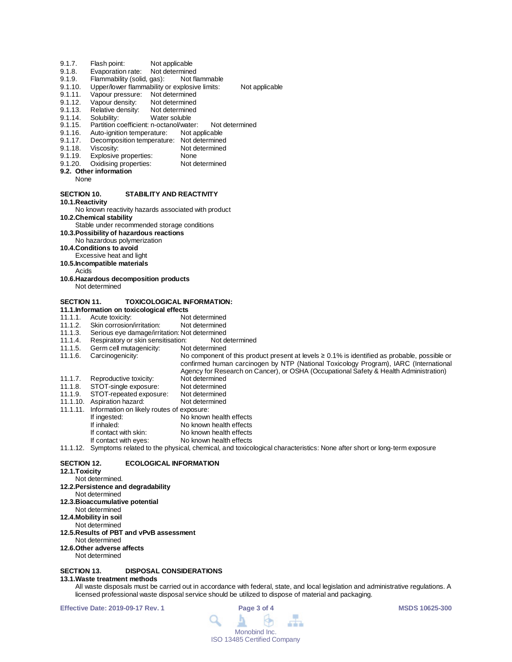- 9.1.7. Flash point: Not applicable<br>9.1.8. Evaporation rate: Not determined
- 9.1.8. Evaporation rate: Not determined<br>9.1.9. Flammability (solid, gas): Not flammable
- 9.1.9. Flammability (solid, gas):<br>9.1.10. Upper/lower flammability of
- Upper/lower flammability or explosive limits: Not applicable
- 9.1.11. Vapour pressure: Not determined<br>9.1.12. Vapour density: Not determined
- 9.1.12. Vapour density: Not determined<br>9.1.13. Relative density: Not determined
- 9.1.13. Relative density: Not determine<br>9.1.14. Solubility: Water soluble
- 9.1.14. Solubility: Water soluble
- 9.1.15. Partition coefficient: n-octanol/water: Not determined
- 9.1.16. Auto-ignition temperature: Not applicable<br>9.1.17. Decomposition temperature: Not determined
- 9.1.17. Decomposition temperature: Not determined<br>9.1.18. Viscosity: Not determined
- 9.1.18. Viscosity: Not determined<br>9.1.19. Explosive properties: None
- 9.1.19. Explosive properties: None<br>9.1.20. Oxidising properties: Not determined
- Oxidising properties:
- **9.2. Other information**
	- None

#### **SECTION 10. STABILITY AND REACTIVITY**

**10.1.Reactivity**

No known reactivity hazards associated with product **10.2.Chemical stability**

- Stable under recommended storage conditions
- **10.3.Possibility of hazardous reactions**
- No hazardous polymerization

**10.4.Conditions to avoid**

- Excessive heat and light
- **10.5.Incompatible materials**
- Acids
- **10.6.Hazardous decomposition products** Not determined

# **SECTION 11. TOXICOLOGICAL INFORMATION:**

- 
- **11.1.Information on toxicological effects** 11.1.1. Acute toxicity: Not determined<br>11.1.2. Skin corrosion/irritation: Not determined
- 11.1.2. Skin corrosion/irritation:<br>11.1.3. Serious eye damage/irrit
- 11.1.3. Serious eye damage/irritation: Not determined
- 11.1.4. Respiratory or skin sensitisation: Not d<br>11.1.5. Germ cell mutagenicity: Not determined
- 
- 11.1.5. Germ cell mutagenicity:<br>11.1.6. Carcinogenicity: No component of this product present at levels ≥ 0.1% is identified as probable, possible or confirmed human carcinogen by NTP (National Toxicology Program), IARC (International
- Agency for Research on Cancer), or OSHA (Occupational Safety & Health Administration)
- 11.1.7. Reproductive toxicity: Not determined<br>11.1.8. STOT-single exposure: Not determined
- 11.1.8. STOT-single exposure: Not determined 11.1.9. STOT-repeated exposure: Not determined
- 11.1.10. Aspiration hazard: Not determined
- 11.1.11. Information on likely routes of exposure: If ingested: No known health effects<br>
If inhaled: No known health effects
- If inhaled: No known health effects<br>If contact with skin: No known health effects
- If contact with skin: No known health effects<br>If contact with eyes: No known health effects No known health effects

11.1.12. Symptoms related to the physical, chemical, and toxicological characteristics: None after short or long-term exposure

# **SECTION 12. ECOLOGICAL INFORMATION**

- **12.1.Toxicity**
	- Not determined.
- **12.2.Persistence and degradability**
- Not determined
- **12.3.Bioaccumulative potential**
- Not determined
- **12.4.Mobility in soil**
- Not determined
- **12.5.Results of PBT and vPvB assessment** Not determined
- **12.6.Other adverse affects**
- Not determined

# **SECTION 13. DISPOSAL CONSIDERATIONS**

# **13.1.Waste treatment methods**

All waste disposals must be carried out in accordance with federal, state, and local legislation and administrative regulations. A licensed professional waste disposal service should be utilized to dispose of material and packaging.